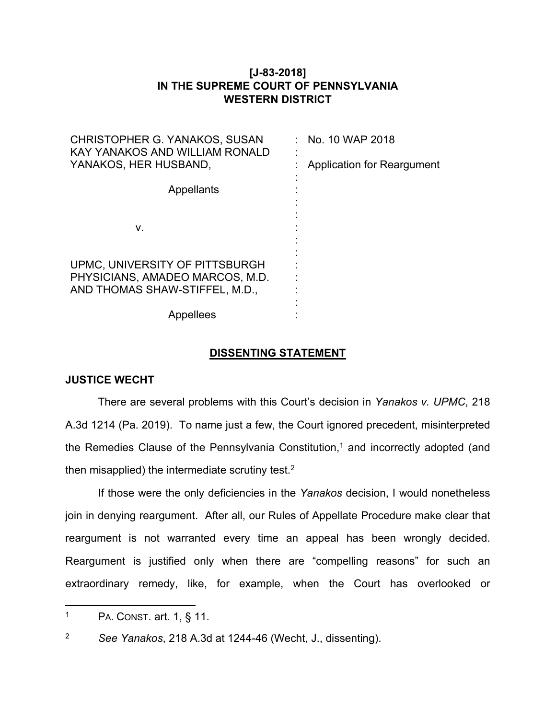# **[J-83-2018] IN THE SUPREME COURT OF PENNSYLVANIA WESTERN DISTRICT**

| CHRISTOPHER G. YANAKOS, SUSAN<br>KAY YANAKOS AND WILLIAM RONALD   | No. 10 WAP 2018                   |
|-------------------------------------------------------------------|-----------------------------------|
| YANAKOS, HER HUSBAND,                                             | <b>Application for Reargument</b> |
| Appellants                                                        |                                   |
|                                                                   |                                   |
| ν.                                                                |                                   |
|                                                                   |                                   |
| UPMC, UNIVERSITY OF PITTSBURGH                                    |                                   |
| PHYSICIANS, AMADEO MARCOS, M.D.<br>AND THOMAS SHAW-STIFFEL, M.D., |                                   |
|                                                                   |                                   |
| Appellees                                                         |                                   |

## **DISSENTING STATEMENT**

## **JUSTICE WECHT**

There are several problems with this Court's decision in *Yanakos v. UPMC*, 218 A.3d 1214 (Pa. 2019). To name just a few, the Court ignored precedent, misinterpreted the Remedies Clause of the Pennsylvania Constitution,<sup>1</sup> and incorrectly adopted (and then misapplied) the intermediate scrutiny test.<sup>2</sup>

If those were the only deficiencies in the *Yanakos* decision, I would nonetheless join in denying reargument. After all, our Rules of Appellate Procedure make clear that reargument is not warranted every time an appeal has been wrongly decided. Reargument is justified only when there are "compelling reasons" for such an extraordinary remedy, like, for example, when the Court has overlooked or

<sup>1</sup> PA. CONST. art. 1, § 11.

<sup>2</sup> *See Yanakos*, 218 A.3d at 1244-46 (Wecht, J., dissenting).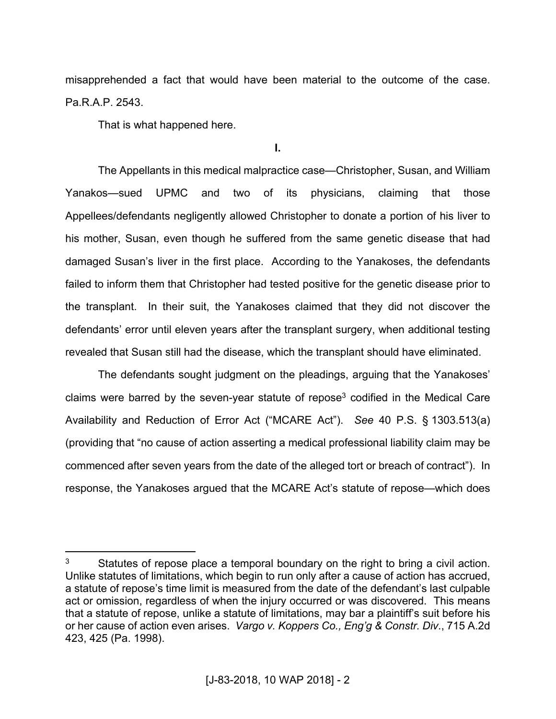misapprehended a fact that would have been material to the outcome of the case. Pa.R.A.P. 2543.

That is what happened here.

**I.**

The Appellants in this medical malpractice case—Christopher, Susan, and William Yanakos—sued UPMC and two of its physicians, claiming that those Appellees/defendants negligently allowed Christopher to donate a portion of his liver to his mother, Susan, even though he suffered from the same genetic disease that had damaged Susan's liver in the first place. According to the Yanakoses, the defendants failed to inform them that Christopher had tested positive for the genetic disease prior to the transplant. In their suit, the Yanakoses claimed that they did not discover the defendants' error until eleven years after the transplant surgery, when additional testing revealed that Susan still had the disease, which the transplant should have eliminated.

The defendants sought judgment on the pleadings, arguing that the Yanakoses' claims were barred by the seven-year statute of repose<sup>3</sup> codified in the Medical Care Availability and Reduction of Error Act ("MCARE Act"). *See* 40 P.S. § 1303.513(a) (providing that "no cause of action asserting a medical professional liability claim may be commenced after seven years from the date of the alleged tort or breach of contract"). In response, the Yanakoses argued that the MCARE Act's statute of repose—which does

<sup>3</sup> Statutes of repose place a temporal boundary on the right to bring a civil action. Unlike statutes of limitations, which begin to run only after a cause of action has accrued, a statute of repose's time limit is measured from the date of the defendant's last culpable act or omission, regardless of when the injury occurred or was discovered. This means that a statute of repose, unlike a statute of limitations, may bar a plaintiff's suit before his or her cause of action even arises. *Vargo v. Koppers Co., Eng'g & Constr. Div*., 715 A.2d 423, 425 (Pa. 1998).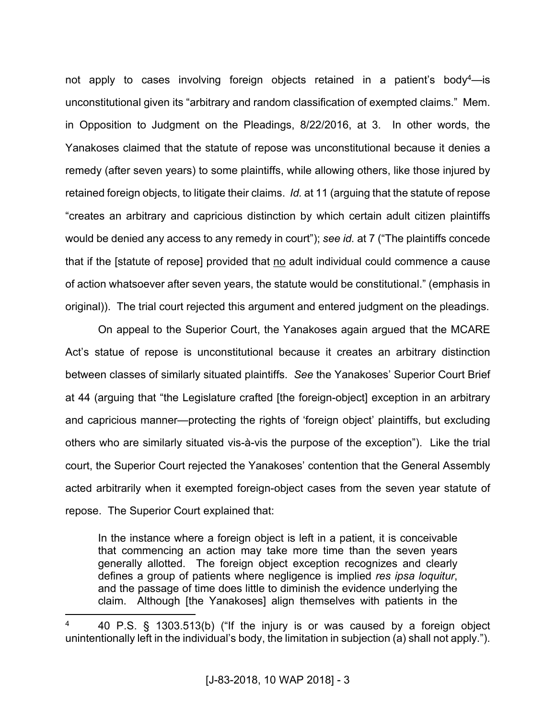not apply to cases involving foreign objects retained in a patient's body<sup>4</sup>—is unconstitutional given its "arbitrary and random classification of exempted claims." Mem. in Opposition to Judgment on the Pleadings, 8/22/2016, at 3. In other words, the Yanakoses claimed that the statute of repose was unconstitutional because it denies a remedy (after seven years) to some plaintiffs, while allowing others, like those injured by retained foreign objects, to litigate their claims. *Id.* at 11 (arguing that the statute of repose "creates an arbitrary and capricious distinction by which certain adult citizen plaintiffs would be denied any access to any remedy in court"); *see id.* at 7 ("The plaintiffs concede that if the [statute of repose] provided that no adult individual could commence a cause of action whatsoever after seven years, the statute would be constitutional." (emphasis in original)). The trial court rejected this argument and entered judgment on the pleadings.

On appeal to the Superior Court, the Yanakoses again argued that the MCARE Act's statue of repose is unconstitutional because it creates an arbitrary distinction between classes of similarly situated plaintiffs. *See* the Yanakoses' Superior Court Brief at 44 (arguing that "the Legislature crafted [the foreign-object] exception in an arbitrary and capricious manner—protecting the rights of 'foreign object' plaintiffs, but excluding others who are similarly situated vis-à-vis the purpose of the exception"). Like the trial court, the Superior Court rejected the Yanakoses' contention that the General Assembly acted arbitrarily when it exempted foreign-object cases from the seven year statute of repose. The Superior Court explained that:

In the instance where a foreign object is left in a patient, it is conceivable that commencing an action may take more time than the seven years generally allotted. The foreign object exception recognizes and clearly defines a group of patients where negligence is implied *res ipsa loquitur*, and the passage of time does little to diminish the evidence underlying the claim. Although [the Yanakoses] align themselves with patients in the

<sup>4</sup> 40 P.S. § 1303.513(b) ("If the injury is or was caused by a foreign object unintentionally left in the individual's body, the limitation in subjection (a) shall not apply.").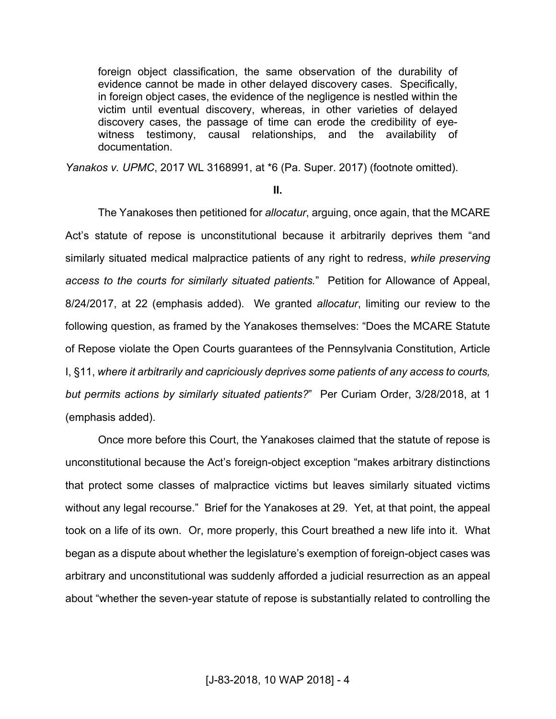foreign object classification, the same observation of the durability of evidence cannot be made in other delayed discovery cases. Specifically, in foreign object cases, the evidence of the negligence is nestled within the victim until eventual discovery, whereas, in other varieties of delayed discovery cases, the passage of time can erode the credibility of eyewitness testimony, causal relationships, and the availability of documentation.

*Yanakos v. UPMC*, 2017 WL 3168991, at \*6 (Pa. Super. 2017) (footnote omitted).

#### **II.**

The Yanakoses then petitioned for *allocatur*, arguing, once again, that the MCARE Act's statute of repose is unconstitutional because it arbitrarily deprives them "and similarly situated medical malpractice patients of any right to redress, *while preserving access to the courts for similarly situated patients.*" Petition for Allowance of Appeal, 8/24/2017, at 22 (emphasis added). We granted *allocatur*, limiting our review to the following question, as framed by the Yanakoses themselves: "Does the MCARE Statute of Repose violate the Open Courts guarantees of the Pennsylvania Constitution, Article I, §11, *where it arbitrarily and capriciously deprives some patients of any access to courts, but permits actions by similarly situated patients?*" Per Curiam Order, 3/28/2018, at 1 (emphasis added).

Once more before this Court, the Yanakoses claimed that the statute of repose is unconstitutional because the Act's foreign-object exception "makes arbitrary distinctions that protect some classes of malpractice victims but leaves similarly situated victims without any legal recourse." Brief for the Yanakoses at 29. Yet, at that point, the appeal took on a life of its own. Or, more properly, this Court breathed a new life into it. What began as a dispute about whether the legislature's exemption of foreign-object cases was arbitrary and unconstitutional was suddenly afforded a judicial resurrection as an appeal about "whether the seven-year statute of repose is substantially related to controlling the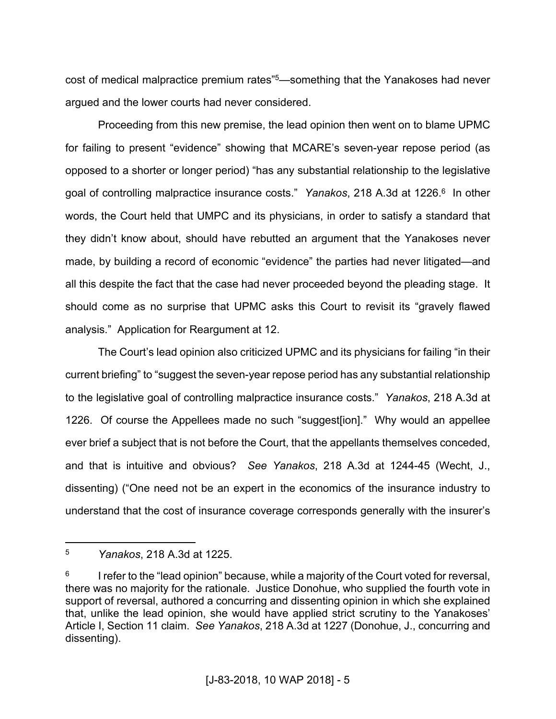cost of medical malpractice premium rates"<sup>5</sup>—something that the Yanakoses had never argued and the lower courts had never considered.

Proceeding from this new premise, the lead opinion then went on to blame UPMC for failing to present "evidence" showing that MCARE's seven-year repose period (as opposed to a shorter or longer period) "has any substantial relationship to the legislative goal of controlling malpractice insurance costs." Yanakos, 218 A.3d at 1226.<sup>6</sup> In other words, the Court held that UMPC and its physicians, in order to satisfy a standard that they didn't know about, should have rebutted an argument that the Yanakoses never made, by building a record of economic "evidence" the parties had never litigated—and all this despite the fact that the case had never proceeded beyond the pleading stage. It should come as no surprise that UPMC asks this Court to revisit its "gravely flawed analysis." Application for Reargument at 12.

The Court's lead opinion also criticized UPMC and its physicians for failing "in their current briefing" to "suggest the seven-year repose period has any substantial relationship to the legislative goal of controlling malpractice insurance costs." *Yanakos*, 218 A.3d at 1226. Of course the Appellees made no such "suggest[ion]." Why would an appellee ever brief a subject that is not before the Court, that the appellants themselves conceded, and that is intuitive and obvious? *See Yanakos*, 218 A.3d at 1244-45 (Wecht, J., dissenting) ("One need not be an expert in the economics of the insurance industry to understand that the cost of insurance coverage corresponds generally with the insurer's

<sup>5</sup> *Yanakos*, 218 A.3d at 1225.

<sup>6</sup> I refer to the "lead opinion" because, while a majority of the Court voted for reversal, there was no majority for the rationale. Justice Donohue, who supplied the fourth vote in support of reversal, authored a concurring and dissenting opinion in which she explained that, unlike the lead opinion, she would have applied strict scrutiny to the Yanakoses' Article I, Section 11 claim. *See Yanakos*, 218 A.3d at 1227 (Donohue, J., concurring and dissenting).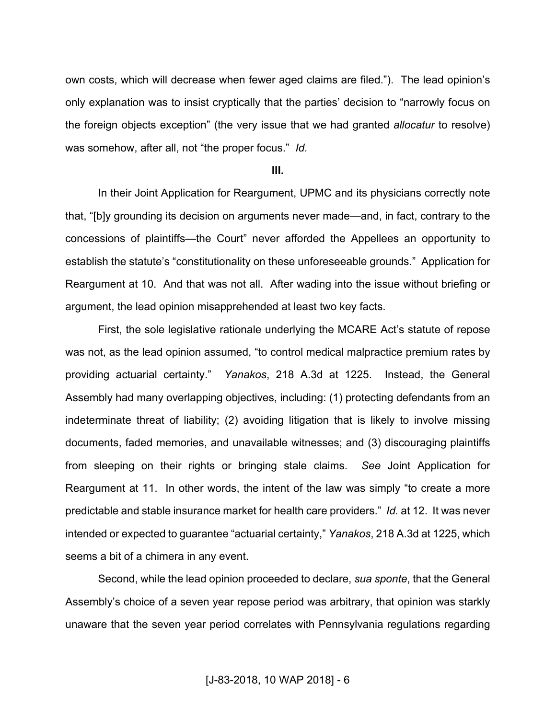own costs, which will decrease when fewer aged claims are filed."). The lead opinion's only explanation was to insist cryptically that the parties' decision to "narrowly focus on the foreign objects exception" (the very issue that we had granted *allocatur* to resolve) was somehow, after all, not "the proper focus." *Id.* 

#### **III.**

In their Joint Application for Reargument, UPMC and its physicians correctly note that, "[b]y grounding its decision on arguments never made—and, in fact, contrary to the concessions of plaintiffs—the Court" never afforded the Appellees an opportunity to establish the statute's "constitutionality on these unforeseeable grounds." Application for Reargument at 10. And that was not all. After wading into the issue without briefing or argument, the lead opinion misapprehended at least two key facts.

First, the sole legislative rationale underlying the MCARE Act's statute of repose was not, as the lead opinion assumed, "to control medical malpractice premium rates by providing actuarial certainty." *Yanakos*, 218 A.3d at 1225. Instead, the General Assembly had many overlapping objectives, including: (1) protecting defendants from an indeterminate threat of liability; (2) avoiding litigation that is likely to involve missing documents, faded memories, and unavailable witnesses; and (3) discouraging plaintiffs from sleeping on their rights or bringing stale claims. *See* Joint Application for Reargument at 11. In other words, the intent of the law was simply "to create a more predictable and stable insurance market for health care providers." *Id.* at 12. It was never intended or expected to guarantee "actuarial certainty," *Yanakos*, 218 A.3d at 1225, which seems a bit of a chimera in any event.

Second, while the lead opinion proceeded to declare, *sua sponte*, that the General Assembly's choice of a seven year repose period was arbitrary, that opinion was starkly unaware that the seven year period correlates with Pennsylvania regulations regarding